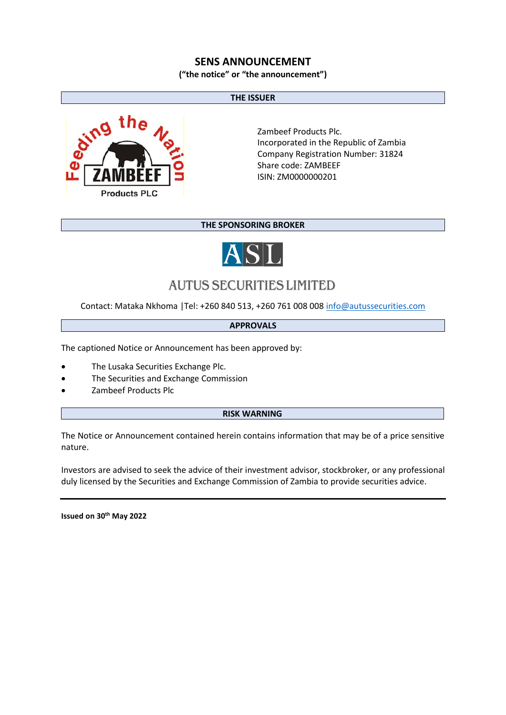### **SENS ANNOUNCEMENT**

**("the notice" or "the announcement")**

#### **THE ISSUER**



Zambeef Products Plc. Incorporated in the Republic of Zambia Company Registration Number: 31824 Share code: ZAMBEEF ISIN: ZM0000000201

#### **THE SPONSORING BROKER**



# **AUTUS SECURITIES LIMITED**

Contact: Mataka Nkhoma |Tel: +260 840 513, +260 761 008 00[8 info@autussecurities.com](mailto:info@autussecurities.com)

#### **APPROVALS**

The captioned Notice or Announcement has been approved by:

- The Lusaka Securities Exchange Plc.
- The Securities and Exchange Commission
- Zambeef Products Plc

#### **RISK WARNING**

The Notice or Announcement contained herein contains information that may be of a price sensitive nature.

Investors are advised to seek the advice of their investment advisor, stockbroker, or any professional duly licensed by the Securities and Exchange Commission of Zambia to provide securities advice.

**Issued on 30th May 2022**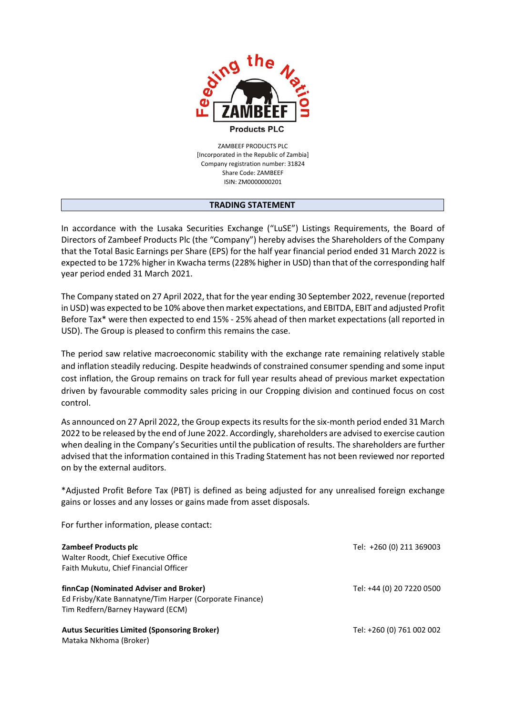

ZAMBEEF PRODUCTS PLC [Incorporated in the Republic of Zambia] Company registration number: 31824 Share Code: ZAMBEEF ISIN: ZM0000000201

#### **TRADING STATEMENT**

In accordance with the Lusaka Securities Exchange ("LuSE") Listings Requirements, the Board of Directors of Zambeef Products Plc (the "Company") hereby advises the Shareholders of the Company that the Total Basic Earnings per Share (EPS) for the half year financial period ended 31 March 2022 is expected to be 172% higher in Kwacha terms (228% higher in USD) than that of the corresponding half year period ended 31 March 2021.

The Company stated on 27 April 2022, that for the year ending 30 September 2022, revenue (reported in USD) was expected to be 10% above then market expectations, and EBITDA, EBIT and adjusted Profit Before Tax\* were then expected to end 15% - 25% ahead of then market expectations (all reported in USD). The Group is pleased to confirm this remains the case.

The period saw relative macroeconomic stability with the exchange rate remaining relatively stable and inflation steadily reducing. Despite headwinds of constrained consumer spending and some input cost inflation, the Group remains on track for full year results ahead of previous market expectation driven by favourable commodity sales pricing in our Cropping division and continued focus on cost control.

As announced on 27 April 2022, the Group expects its results for the six-month period ended 31 March 2022 to be released by the end of June 2022. Accordingly, shareholders are advised to exercise caution when dealing in the Company's Securities until the publication of results. The shareholders are further advised that the information contained in this Trading Statement has not been reviewed nor reported on by the external auditors.

\*Adjusted Profit Before Tax (PBT) is defined as being adjusted for any unrealised foreign exchange gains or losses and any losses or gains made from asset disposals.

For further information, please contact:

| Zambeef Products plc<br>Walter Roodt, Chief Executive Office<br>Faith Mukutu, Chief Financial Officer | Tel: +260 (0) 211 369003  |                                                         |                           |
|-------------------------------------------------------------------------------------------------------|---------------------------|---------------------------------------------------------|---------------------------|
|                                                                                                       |                           | finnCap (Nominated Adviser and Broker)                  | Tel: +44 (0) 20 7220 0500 |
|                                                                                                       |                           | Ed Frisby/Kate Bannatyne/Tim Harper (Corporate Finance) |                           |
| Tim Redfern/Barney Hayward (ECM)                                                                      |                           |                                                         |                           |
| <b>Autus Securities Limited (Sponsoring Broker)</b>                                                   | Tel: +260 (0) 761 002 002 |                                                         |                           |
| Mataka Nkhoma (Broker)                                                                                |                           |                                                         |                           |